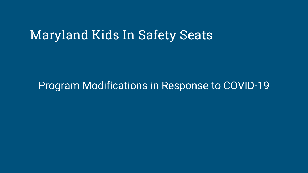# Maryland Kids In Safety Seats

#### Program Modifications in Response to COVID-19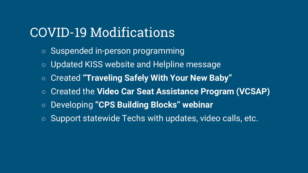# COVID-19 Modifications

- Suspended in-person programming
- Updated KISS website and Helpline message
- Created **"Traveling Safely With Your New Baby"**
- Created the **Video Car Seat Assistance Program (VCSAP)**
- Developing **"CPS Building Blocks" webinar**
- Support statewide Techs with updates, video calls, etc.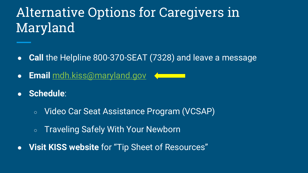# Alternative Options for Caregivers in Maryland

- **Call** the Helpline 800-370-SEAT (7328) and leave a message
- **Email** [mdh.kiss@maryland.gov](mailto:mdh.kiss@maryland.gov)
- **Schedule**:
	- Video Car Seat Assistance Program (VCSAP)
	- Traveling Safely With Your Newborn
- **Visit KISS website** for "Tip Sheet of Resources"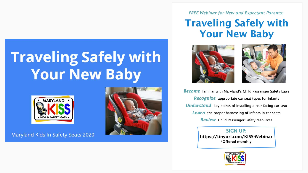# **Traveling Safely with Your New Baby**



Maryland Kids In Safety Seats 2020



**FREE Webinar for New and Expectant Parents:** 

#### **Traveling Safely with Your New Baby**





**Become** familiar with Maryland's Child Passenger Safety Laws Recognize appropriate car seat types for infants **Understand** key points of installing a rear-facing car seat **Learn** the proper harnessing of infants in car seats **Review** Child Passenger Safety resources

> **SIGN UP:** https://tinyurl.com/KISS-Webinar \*Offered monthly

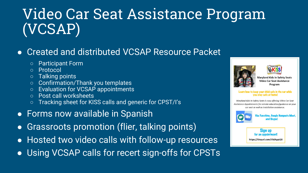# Video Car Seat Assistance Program (VCSAP)

#### • Created and distributed VCSAP Resource Packet

- Participant Form
- Protocol
- Talking points
- Confirmation/Thank you templates
- Evaluation for VCSAP appointments
- Post call worksheets
- Tracking sheet for KISS calls and generic for CPST/I's
- **•** Forms now available in Spanish
- Grassroots promotion (flier, talking points)
- Hosted two video calls with follow-up resources
- Using VCSAP calls for recert sign-offs for CPSTs





**Maryland Kids In Safety Seats Video Car Seat Assistance** Program

#### Learn how to keep your child safe in the car while you stay safe at home!

Maryland Kids In Safety Seats is now offering Video Car Seat Assistance Appointments for remote education/guidance on your car seat as well as installation assistance.



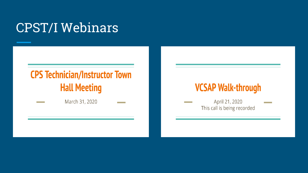# **CPST/I Webinars**

### **CPS Technician/Instructor Town Hall Meeting**

March 31, 2020

### **VCSAP Walk-through**

April 21, 2020 This call is being recorded